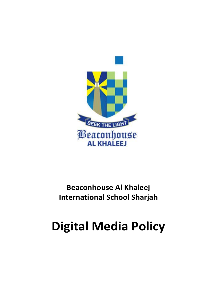

# **Beaconhouse Al Khaleej International School Sharjah**

# **Digital Media Policy**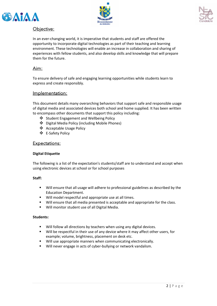





# Objective:

In an ever-changing world, it is imperative that students and staff are offered the opportunity to incorporate digital technologies as part of their teaching and learning environment. These technologies will enable an increase in collaboration and sharing of experiences with fellow students, and also develop skills and knowledge that will prepare them for the future.

# Aim:

To ensure delivery of safe and engaging learning opportunities while students learn to express and create responsibly.

# Implementation:

This document details many overarching behaviors that support safe and responsible usage of digital media and associated devices both school and home supplied. It has been written to encompass other documents that support this policy including:

- ❖ Student Engagement and Wellbeing Policy
- ❖ Digital Media Policy (including Mobile Phones)
- ❖ Acceptable Usage Policy
- ❖ E-Safety Policy

## Expectations:

#### **Digital Etiquette**

The following is a list of the expectation's students/staff are to understand and accept when using electronic devices at school or for school purposes

#### **Staff:**

- Will ensure that all usage will adhere to professional guidelines as described by the Education Department.
- Will model respectful and appropriate use at all times.
- Will ensure that all media presented is acceptable and appropriate for the class.
- Will monitor student use of all Digital Media.

#### **Students:**

- Will follow all directions by teachers when using any digital devices.
- Will be respectful in their use of any device where it may affect other users, for example; volume, brightness, placement on desk etc.
- Will use appropriate manners when communicating electronically.
- Will never engage in acts of cyber-bullying or network vandalism.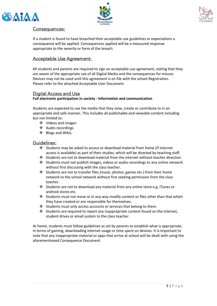





## Consequences:

If a student is found to have breached their acceptable use guidelines or expectations a consequence will be applied. Consequences applied will be a measured response appropriate to the severity or form of the breach.

# Acceptable Use Agreement:

All students and parents are required to sign an acceptable use agreement, stating that they are aware of the appropriate use of all Digital Media and the consequences for misuse. Devices may not be used until this agreement is on file with the school Registration. Please refer to the attached Acceptable User Document.

# Digital Access and Use

**Full electronic participation in society - Information and communication**

Students are expected to use the media that they view, create or contribute to in an appropriate and safe manner. This includes all publishable and viewable content including but not limited to:

- ❖ Videos and images
- ❖ Audio recordings
- ❖ Blogs and Wikis.

#### Guidelines:

- ❖ Students may be asked to access or download material from home (if internet access is available) as part of their studies, which will be directed by teaching staff.
- ❖ Students are not to download material from the internet without teacher direction.
- ❖ Students must not publish images, videos or audio recordings to any online network without first discussing with the class teacher.
- ❖ Students are not to transfer files (music, photos, games etc.) from their home network to the school network without first seeking permission from the class teacher.
- ❖ Students are not to download any material from any online store e.g. iTunes or android stores etc.
- ❖ Students must not move or in any way modify content or files other than that which they have created or are responsible for themselves.
- ❖ Students must only access accounts or services that belong to them.
- ❖ Students are required to report any inappropriate content found on the internet, student drives or email system to the class teacher.

At home, students must follow guidelines as set by parents to establish what is appropriate, in terms of gaming, downloading internet usage or time spent on devices. It is important to note that any inappropriate material or apps that arrive at school will be dealt with using the aforementioned Consequence Document.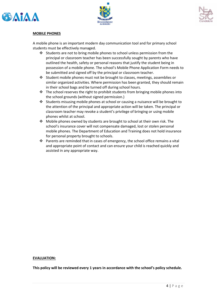





#### **MOBILE PHONES**

A mobile phone is an important modern day communication tool and for primary school students must be effectively managed.

- ❖ Students are not to bring mobile phones to school unless permission from the principal or classroom teacher has been successfully sought by parents who have outlined the health, safety or personal reasons that justify the student being in possession of a mobile phone. The school's Mobile Phone Application Form needs to be submitted and signed off by the principal or classroom teacher.
- ❖ Student mobile phones must not be brought to classes, meetings, assemblies or similar organized activities. Where permission has been granted, they should remain in their school bags and be turned off during school hours.
- $\div$  The school reserves the right to prohibit students from bringing mobile phones into the school grounds (without signed permission.)
- ❖ Students misusing mobile phones at school or causing a nuisance will be brought to the attention of the principal and appropriate action will be taken. The principal or classroom teacher may revoke a student's privilege of bringing or using mobile phones whilst at school.
- ❖ Mobile phones owned by students are brought to school at their own risk. The school's insurance cover will not compensate damaged, lost or stolen personal mobile phones. The Department of Education and Training does not hold insurance for personal property brought to schools.
- ❖ Parents are reminded that in cases of emergency, the school office remains a vital and appropriate point of contact and can ensure your child is reached quickly and assisted in any appropriate way.

#### **EVALUATION:**

**This policy will be reviewed every 1 years in accordance with the school's policy schedule.**